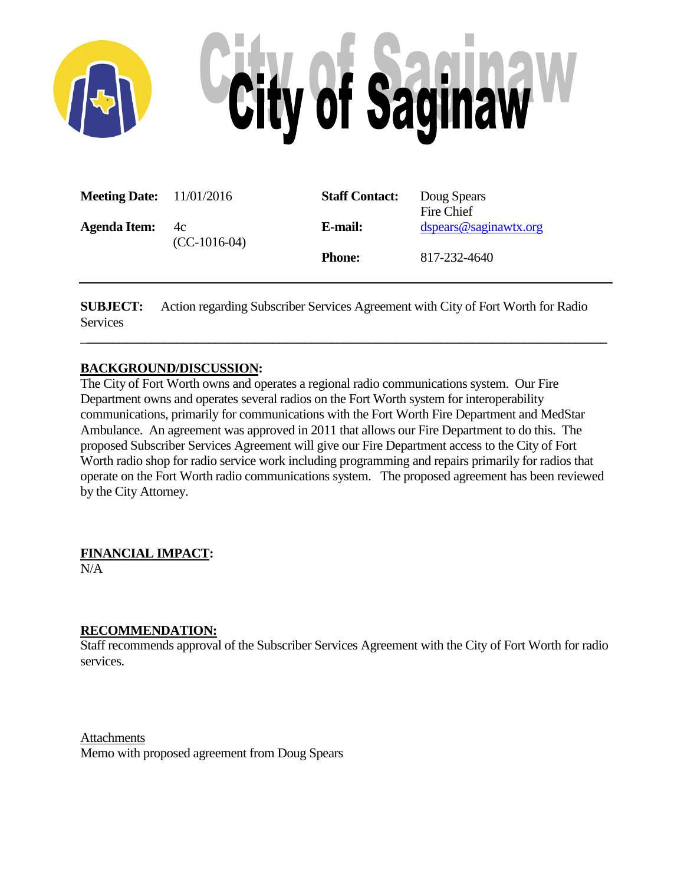

| <b>Meeting Date:</b> $11/01/2016$ |                      | <b>Staff Contact:</b> | Doug Spears<br>Fire Chief |
|-----------------------------------|----------------------|-----------------------|---------------------------|
| <b>Agenda Item:</b>               | 4c<br>$(CC-1016-04)$ | E-mail:               | dspears@saginawtx.org     |
|                                   |                      | <b>Phone:</b>         | 817-232-4640              |

**SUBJECT:** Action regarding Subscriber Services Agreement with City of Fort Worth for Radio **Services** 

\_**\_\_\_\_\_\_\_\_\_\_\_\_\_\_\_\_\_\_\_\_\_\_\_\_\_\_\_\_\_\_\_\_\_\_\_\_\_\_\_\_\_\_\_\_\_\_\_\_\_\_\_\_\_\_\_\_\_\_\_\_\_\_\_\_\_\_\_\_\_\_\_\_\_\_\_\_\_\_\_\_\_**

#### **BACKGROUND/DISCUSSION:**

The City of Fort Worth owns and operates a regional radio communications system. Our Fire Department owns and operates several radios on the Fort Worth system for interoperability communications, primarily for communications with the Fort Worth Fire Department and MedStar Ambulance. An agreement was approved in 2011 that allows our Fire Department to do this. The proposed Subscriber Services Agreement will give our Fire Department access to the City of Fort Worth radio shop for radio service work including programming and repairs primarily for radios that operate on the Fort Worth radio communications system. The proposed agreement has been reviewed by the City Attorney.

**FINANCIAL IMPACT:**

N/A

#### **RECOMMENDATION:**

Staff recommends approval of the Subscriber Services Agreement with the City of Fort Worth for radio services.

Attachments Memo with proposed agreement from Doug Spears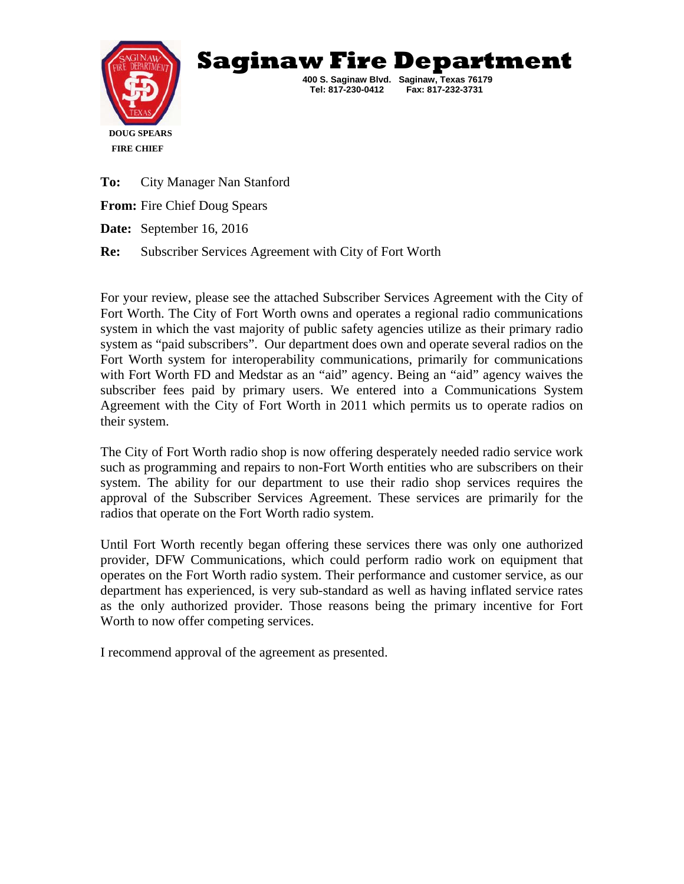



 **Tel: 817-230-0412 Fax: 817-232-3731** 

 **400 S. Saginaw Blvd. Saginaw, Texas 76179** 

**To:** City Manager Nan Stanford **From:** Fire Chief Doug Spears **Date:** September 16, 2016 **Re:** Subscriber Services Agreement with City of Fort Worth

For your review, please see the attached Subscriber Services Agreement with the City of Fort Worth. The City of Fort Worth owns and operates a regional radio communications system in which the vast majority of public safety agencies utilize as their primary radio system as "paid subscribers". Our department does own and operate several radios on the Fort Worth system for interoperability communications, primarily for communications with Fort Worth FD and Medstar as an "aid" agency. Being an "aid" agency waives the subscriber fees paid by primary users. We entered into a Communications System Agreement with the City of Fort Worth in 2011 which permits us to operate radios on their system.

The City of Fort Worth radio shop is now offering desperately needed radio service work such as programming and repairs to non-Fort Worth entities who are subscribers on their system. The ability for our department to use their radio shop services requires the approval of the Subscriber Services Agreement. These services are primarily for the radios that operate on the Fort Worth radio system.

Until Fort Worth recently began offering these services there was only one authorized provider, DFW Communications, which could perform radio work on equipment that operates on the Fort Worth radio system. Their performance and customer service, as our department has experienced, is very sub-standard as well as having inflated service rates as the only authorized provider. Those reasons being the primary incentive for Fort Worth to now offer competing services.

I recommend approval of the agreement as presented.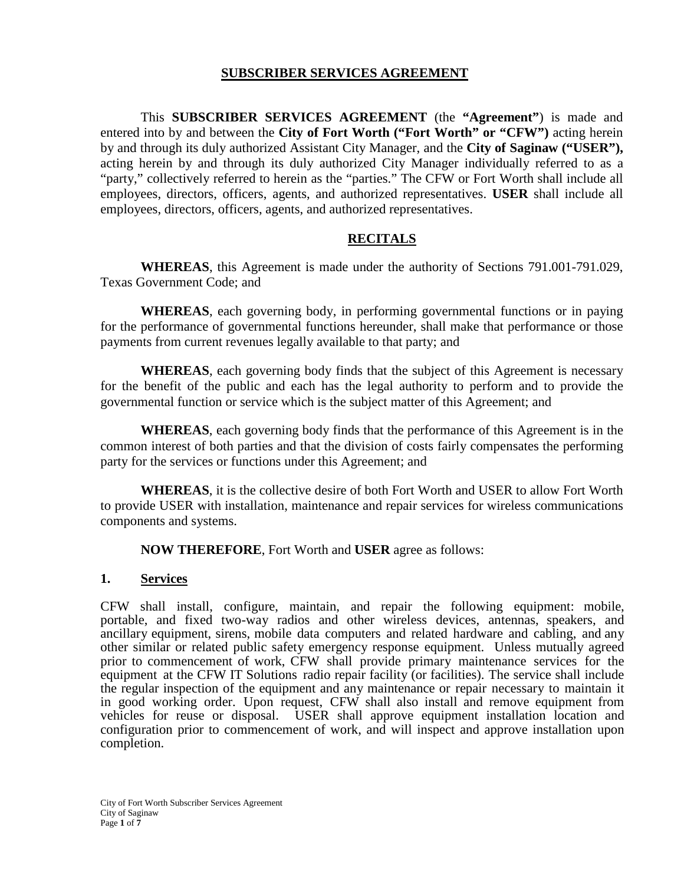#### **SUBSCRIBER SERVICES AGREEMENT**

This **SUBSCRIBER SERVICES AGREEMENT** (the **"Agreement"**) is made and entered into by and between the **City of Fort Worth ("Fort Worth" or "CFW")** acting herein by and through its duly authorized Assistant City Manager, and the **City of Saginaw ("USER"),** acting herein by and through its duly authorized City Manager individually referred to as a "party," collectively referred to herein as the "parties." The CFW or Fort Worth shall include all employees, directors, officers, agents, and authorized representatives. **USER** shall include all employees, directors, officers, agents, and authorized representatives.

#### **RECITALS**

**WHEREAS**, this Agreement is made under the authority of Sections 791.001-791.029, Texas Government Code; and

**WHEREAS**, each governing body, in performing governmental functions or in paying for the performance of governmental functions hereunder, shall make that performance or those payments from current revenues legally available to that party; and

**WHEREAS**, each governing body finds that the subject of this Agreement is necessary for the benefit of the public and each has the legal authority to perform and to provide the governmental function or service which is the subject matter of this Agreement; and

**WHEREAS**, each governing body finds that the performance of this Agreement is in the common interest of both parties and that the division of costs fairly compensates the performing party for the services or functions under this Agreement; and

**WHEREAS**, it is the collective desire of both Fort Worth and USER to allow Fort Worth to provide USER with installation, maintenance and repair services for wireless communications components and systems.

**NOW THEREFORE**, Fort Worth and **USER** agree as follows:

#### **1. Services**

CFW shall install, configure, maintain, and repair the following equipment: mobile, portable, and fixed two-way radios and other wireless devices, antennas, speakers, and ancillary equipment, sirens, mobile data computers and related hardware and cabling, and any other similar or related public safety emergency response equipment. Unless mutually agreed prior to commencement of work, CFW shall provide primary maintenance services for the equipment at the CFW IT Solutions radio repair facility (or facilities). The service shall include the regular inspection of the equipment and any maintenance or repair necessary to maintain it in good working order. Upon request, CFW shall also install and remove equipment from vehicles for reuse or disposal. USER shall approve equipment installation location and configuration prior to commencement of work, and will inspect and approve installation upon completion.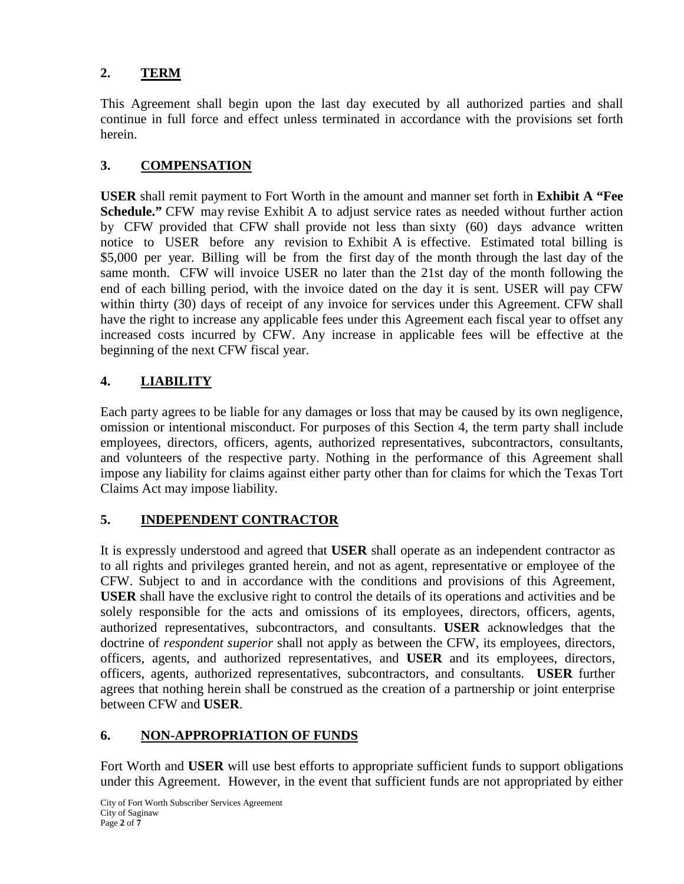# **2. TERM**

This Agreement shall begin upon the last day executed by all authorized parties and shall continue in full force and effect unless terminated in accordance with the provisions set forth herein.

# **3. COMPENSATION**

**USER** shall remit payment to Fort Worth in the amount and manner set forth in **Exhibit A "Fee Schedule."** CFW may revise Exhibit A to adjust service rates as needed without further action by CFW provided that CFW shall provide not less than sixty (60) days advance written notice to USER before any revision to Exhibit A is effective. Estimated total billing is \$5,000 per year. Billing will be from the first day of the month through the last day of the same month. CFW will invoice USER no later than the 21st day of the month following the end of each billing period, with the invoice dated on the day it is sent. USER will pay CFW within thirty (30) days of receipt of any invoice for services under this Agreement. CFW shall have the right to increase any applicable fees under this Agreement each fiscal year to offset any increased costs incurred by CFW. Any increase in applicable fees will be effective at the beginning of the next CFW fiscal year.

# **4. LIABILITY**

Each party agrees to be liable for any damages or loss that may be caused by its own negligence, omission or intentional misconduct. For purposes of this Section 4, the term party shall include employees, directors, officers, agents, authorized representatives, subcontractors, consultants, and volunteers of the respective party. Nothing in the performance of this Agreement shall impose any liability for claims against either party other than for claims for which the Texas Tort Claims Act may impose liability.

# **5. INDEPENDENT CONTRACTOR**

It is expressly understood and agreed that **USER** shall operate as an independent contractor as to all rights and privileges granted herein, and not as agent, representative or employee of the CFW. Subject to and in accordance with the conditions and provisions of this Agreement, **USER** shall have the exclusive right to control the details of its operations and activities and be solely responsible for the acts and omissions of its employees, directors, officers, agents, authorized representatives, subcontractors, and consultants. **USER** acknowledges that the doctrine of *respondent superior* shall not apply as between the CFW, its employees, directors, officers, agents, and authorized representatives, and **USER** and its employees, directors, officers, agents, authorized representatives, subcontractors, and consultants. **USER** further agrees that nothing herein shall be construed as the creation of a partnership or joint enterprise between CFW and **USER**.

# **6. NON-APPROPRIATION OF FUNDS**

Fort Worth and **USER** will use best efforts to appropriate sufficient funds to support obligations under this Agreement. However, in the event that sufficient funds are not appropriated by either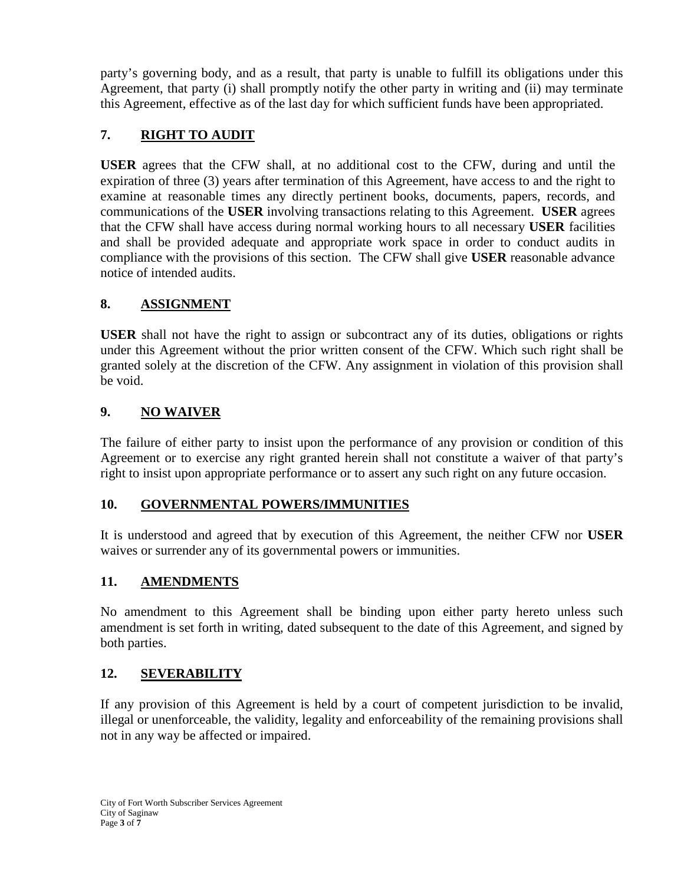party's governing body, and as a result, that party is unable to fulfill its obligations under this Agreement, that party (i) shall promptly notify the other party in writing and (ii) may terminate this Agreement, effective as of the last day for which sufficient funds have been appropriated.

# **7. RIGHT TO AUDIT**

**USER** agrees that the CFW shall, at no additional cost to the CFW, during and until the expiration of three (3) years after termination of this Agreement, have access to and the right to examine at reasonable times any directly pertinent books, documents, papers, records, and communications of the **USER** involving transactions relating to this Agreement. **USER** agrees that the CFW shall have access during normal working hours to all necessary **USER** facilities and shall be provided adequate and appropriate work space in order to conduct audits in compliance with the provisions of this section. The CFW shall give **USER** reasonable advance notice of intended audits.

# **8. ASSIGNMENT**

**USER** shall not have the right to assign or subcontract any of its duties, obligations or rights under this Agreement without the prior written consent of the CFW. Which such right shall be granted solely at the discretion of the CFW. Any assignment in violation of this provision shall be void.

# **9. NO WAIVER**

The failure of either party to insist upon the performance of any provision or condition of this Agreement or to exercise any right granted herein shall not constitute a waiver of that party's right to insist upon appropriate performance or to assert any such right on any future occasion.

# **10. GOVERNMENTAL POWERS/IMMUNITIES**

It is understood and agreed that by execution of this Agreement, the neither CFW nor **USER**  waives or surrender any of its governmental powers or immunities.

# **11. AMENDMENTS**

No amendment to this Agreement shall be binding upon either party hereto unless such amendment is set forth in writing, dated subsequent to the date of this Agreement, and signed by both parties.

# **12. SEVERABILITY**

If any provision of this Agreement is held by a court of competent jurisdiction to be invalid, illegal or unenforceable, the validity, legality and enforceability of the remaining provisions shall not in any way be affected or impaired.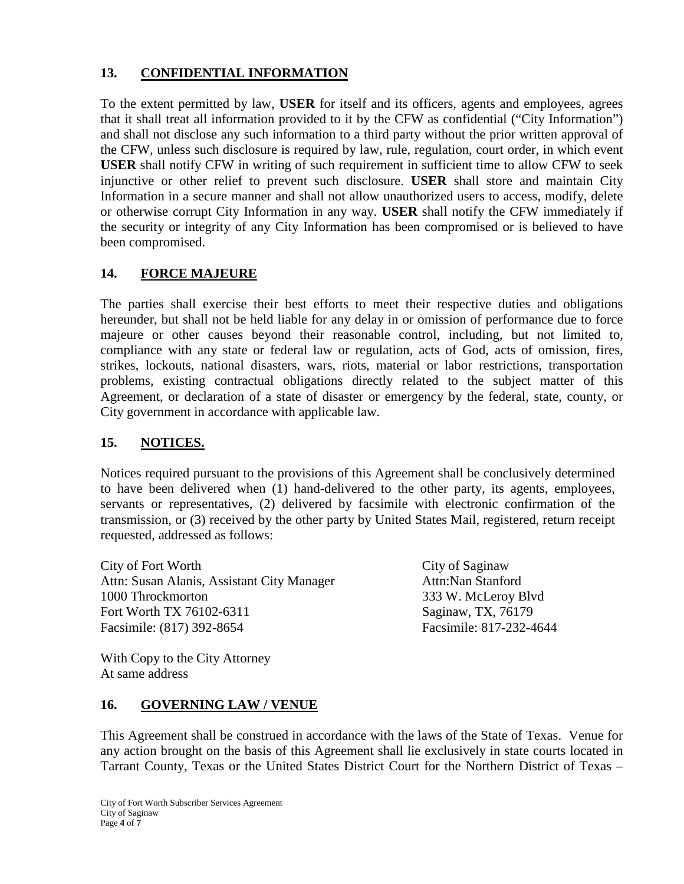# **13. CONFIDENTIAL INFORMATION**

To the extent permitted by law, **USER** for itself and its officers, agents and employees, agrees that it shall treat all information provided to it by the CFW as confidential ("City Information") and shall not disclose any such information to a third party without the prior written approval of the CFW, unless such disclosure is required by law, rule, regulation, court order, in which event **USER** shall notify CFW in writing of such requirement in sufficient time to allow CFW to seek injunctive or other relief to prevent such disclosure. **USER** shall store and maintain City Information in a secure manner and shall not allow unauthorized users to access, modify, delete or otherwise corrupt City Information in any way. **USER** shall notify the CFW immediately if the security or integrity of any City Information has been compromised or is believed to have been compromised.

# **14. FORCE MAJEURE**

The parties shall exercise their best efforts to meet their respective duties and obligations hereunder, but shall not be held liable for any delay in or omission of performance due to force majeure or other causes beyond their reasonable control, including, but not limited to, compliance with any state or federal law or regulation, acts of God, acts of omission, fires, strikes, lockouts, national disasters, wars, riots, material or labor restrictions, transportation problems, existing contractual obligations directly related to the subject matter of this Agreement, or declaration of a state of disaster or emergency by the federal, state, county, or City government in accordance with applicable law.

# **15. NOTICES.**

Notices required pursuant to the provisions of this Agreement shall be conclusively determined to have been delivered when (1) hand-delivered to the other party, its agents, employees, servants or representatives, (2) delivered by facsimile with electronic confirmation of the transmission, or (3) received by the other party by United States Mail, registered, return receipt requested, addressed as follows:

City of Fort Worth City of Saginaw Attn: Susan Alanis, Assistant City Manager Attn:Nan Stanford 1000 Throckmorton 333 W. McLeroy Blvd Fort Worth TX 76102-6311 Saginaw, TX, 76179 Facsimile: (817) 392-8654 Facsimile: 817-232-4644

With Copy to the City Attorney At same address

#### **16. GOVERNING LAW / VENUE**

This Agreement shall be construed in accordance with the laws of the State of Texas. Venue for any action brought on the basis of this Agreement shall lie exclusively in state courts located in Tarrant County, Texas or the United States District Court for the Northern District of Texas –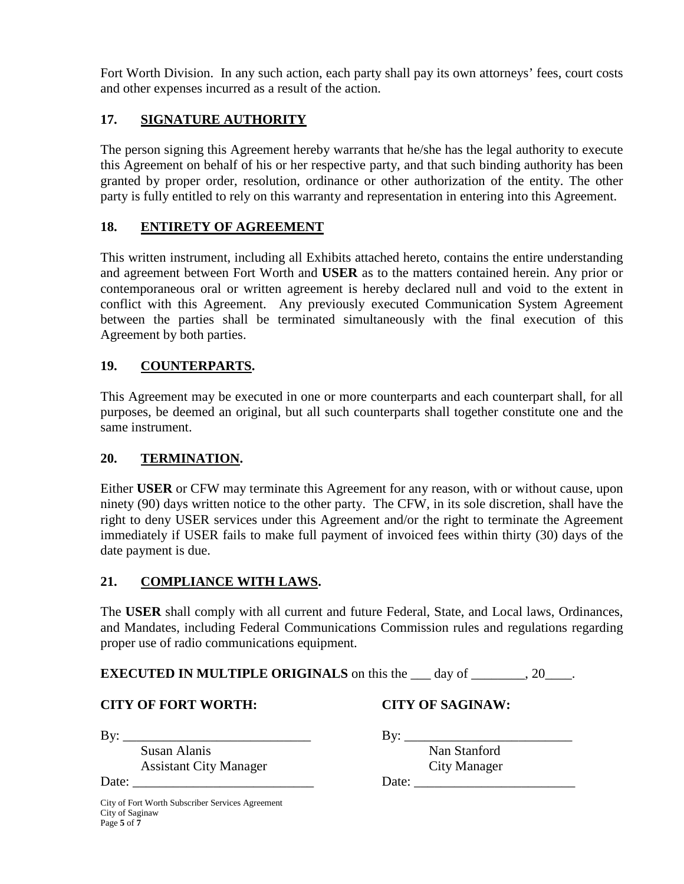Fort Worth Division. In any such action, each party shall pay its own attorneys' fees, court costs and other expenses incurred as a result of the action.

# **17. SIGNATURE AUTHORITY**

The person signing this Agreement hereby warrants that he/she has the legal authority to execute this Agreement on behalf of his or her respective party, and that such binding authority has been granted by proper order, resolution, ordinance or other authorization of the entity. The other party is fully entitled to rely on this warranty and representation in entering into this Agreement.

#### **18. ENTIRETY OF AGREEMENT**

This written instrument, including all Exhibits attached hereto, contains the entire understanding and agreement between Fort Worth and **USER** as to the matters contained herein. Any prior or contemporaneous oral or written agreement is hereby declared null and void to the extent in conflict with this Agreement. Any previously executed Communication System Agreement between the parties shall be terminated simultaneously with the final execution of this Agreement by both parties.

#### **19. COUNTERPARTS.**

This Agreement may be executed in one or more counterparts and each counterpart shall, for all purposes, be deemed an original, but all such counterparts shall together constitute one and the same instrument.

#### **20. TERMINATION.**

Either **USER** or CFW may terminate this Agreement for any reason, with or without cause, upon ninety (90) days written notice to the other party. The CFW, in its sole discretion, shall have the right to deny USER services under this Agreement and/or the right to terminate the Agreement immediately if USER fails to make full payment of invoiced fees within thirty (30) days of the date payment is due.

#### **21. COMPLIANCE WITH LAWS.**

The **USER** shall comply with all current and future Federal, State, and Local laws, Ordinances, and Mandates, including Federal Communications Commission rules and regulations regarding proper use of radio communications equipment.

**EXECUTED IN MULTIPLE ORIGINALS** on this the \_\_\_ day of \_\_\_\_\_\_\_, 20\_\_\_\_.

#### **CITY OF FORT WORTH: CITY OF SAGINAW:**

By: \_\_\_\_\_\_\_\_\_\_\_\_\_\_\_\_\_\_\_\_\_\_\_\_\_\_\_\_ By: \_\_\_\_\_\_\_\_\_\_\_\_\_\_\_\_\_\_\_\_\_\_\_\_\_

Susan Alanis Nan Stanford Assistant City Manager City Manager

Date: \_\_\_\_\_\_\_\_\_\_\_\_\_\_\_\_\_\_\_\_\_\_\_\_\_\_\_ Date: \_\_\_\_\_\_\_\_\_\_\_\_\_\_\_\_\_\_\_\_\_\_\_\_

City of Fort Worth Subscriber Services Agreement City of Saginaw Page **5** of **7**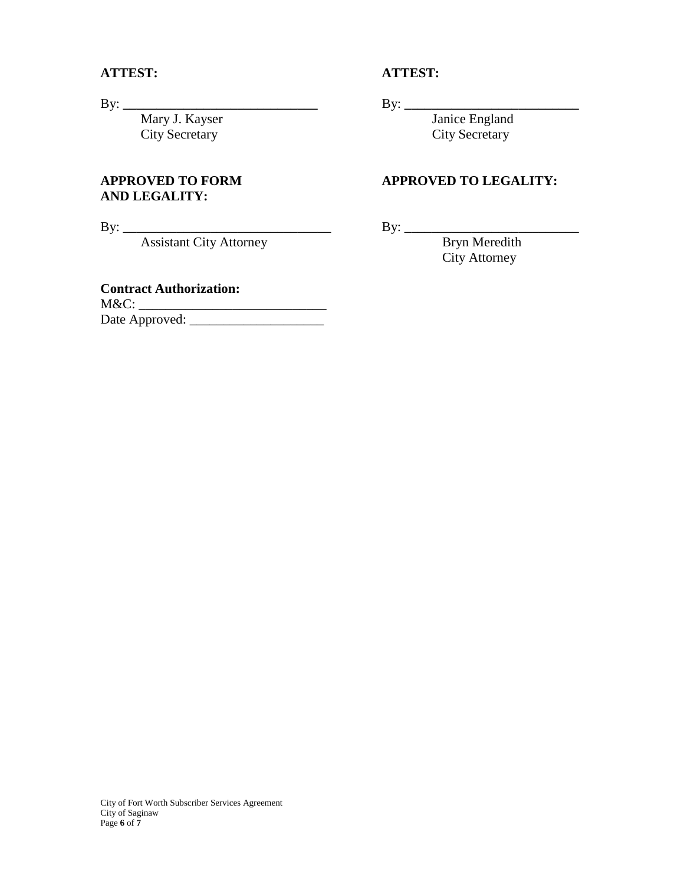City Secretary

# **AND LEGALITY:**

By: \_\_\_\_\_\_\_\_\_\_\_\_\_\_\_\_\_\_\_\_\_\_\_\_\_\_\_\_\_\_\_ By: \_\_\_\_\_\_\_\_\_\_\_\_\_\_\_\_\_\_\_\_\_\_\_\_\_\_ Assistant City Attorney

#### **Contract Authorization:**

M&C: \_\_\_\_\_\_\_\_\_\_\_\_\_\_\_\_\_\_\_\_\_\_\_\_\_\_\_\_ Date Approved: \_\_\_\_\_\_\_\_\_\_\_\_\_\_\_\_\_\_\_\_

#### **ATTEST: ATTEST:**

By: **\_\_\_\_\_\_\_\_\_\_\_\_\_\_\_\_\_\_\_\_\_\_\_\_\_\_\_\_\_** By: **\_\_\_\_\_\_\_\_\_\_\_\_\_\_\_\_\_\_\_\_\_\_\_\_\_\_** Mary J. Kayser Janice England<br>City Secretary City Secretary

#### **APPROVED TO FORM APPROVED TO LEGALITY:**

City Attorney